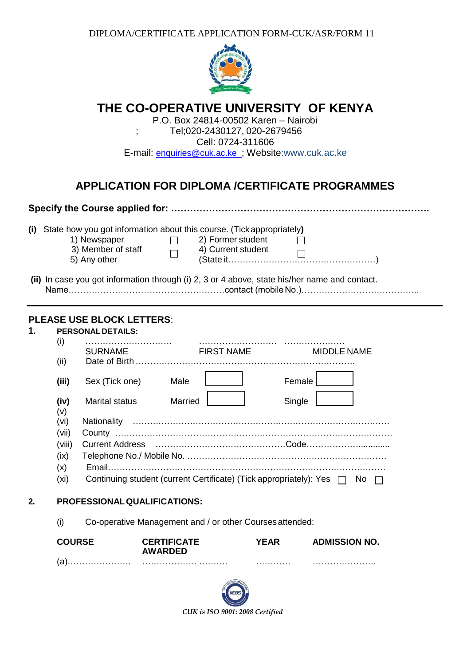DIPLOMA/CERTIFICATE APPLICATION FORM-CUK/ASR/FORM 11



|    |                                                                                                                                                                                             | $\overline{\phantom{a}}$                                                                      | THE CO-OPERATIVE UNIVERSITY  OF KENYA<br>P.O. Box 24814-00502 Karen - Nairobi | Tel;020-2430127, 020-2679456 |        |                                                                                                                |  |  |
|----|---------------------------------------------------------------------------------------------------------------------------------------------------------------------------------------------|-----------------------------------------------------------------------------------------------|-------------------------------------------------------------------------------|------------------------------|--------|----------------------------------------------------------------------------------------------------------------|--|--|
|    |                                                                                                                                                                                             |                                                                                               | E-mail: enquiries@cuk.ac.ke ; Website:www.cuk.ac.ke                           | Cell: 0724-311606            |        |                                                                                                                |  |  |
|    |                                                                                                                                                                                             |                                                                                               |                                                                               |                              |        |                                                                                                                |  |  |
|    |                                                                                                                                                                                             |                                                                                               |                                                                               |                              |        | <b>APPLICATION FOR DIPLOMA /CERTIFICATE PROGRAMMES</b>                                                         |  |  |
|    |                                                                                                                                                                                             |                                                                                               |                                                                               |                              |        |                                                                                                                |  |  |
|    | (i) State how you got information about this course. (Tick appropriately)<br>$\Box$ 2) Former student<br>1) Newspaper<br>3) Member of staff<br>4) Current student<br>$\Box$<br>5) Any other |                                                                                               |                                                                               |                              |        |                                                                                                                |  |  |
|    |                                                                                                                                                                                             | (ii) In case you got information through (i) 2, 3 or 4 above, state his/her name and contact. |                                                                               |                              |        |                                                                                                                |  |  |
| 1. | (i)<br>(ii)<br>(iii)                                                                                                                                                                        | <b>PLEASE USE BLOCK LETTERS:</b><br><b>PERSONAL DETAILS:</b><br>Sex (Tick one)                | SURNAME FIRST NAME<br>Male                                                    |                              | Female | <b>MIDDLE NAME</b>                                                                                             |  |  |
|    | (iv)<br>(v)<br>(vi)<br>(vii)<br>(viii)<br>(ix)<br>(x)                                                                                                                                       | Marital status                                                                                | Married                                                                       |                              | Single | Current Address (and according to the control of the control of the control of the control of the control of t |  |  |
|    | (x <sub>i</sub> )                                                                                                                                                                           |                                                                                               |                                                                               |                              |        | Continuing student (current Certificate) (Tick appropriately): Yes □ No                                        |  |  |
| 2. | <b>PROFESSIONAL QUALIFICATIONS:</b>                                                                                                                                                         |                                                                                               |                                                                               |                              |        |                                                                                                                |  |  |
|    | Co-operative Management and / or other Courses attended:<br>(i)                                                                                                                             |                                                                                               |                                                                               |                              |        |                                                                                                                |  |  |
|    | <b>COURSE</b><br>(a)                                                                                                                                                                        |                                                                                               | <b>CERTIFICATE</b><br><b>AWARDED</b>                                          | <b>YEAR</b>                  |        | <b>ADMISSION NO.</b>                                                                                           |  |  |
|    |                                                                                                                                                                                             |                                                                                               |                                                                               |                              |        |                                                                                                                |  |  |

*CUK is ISO 9001: 2008 Certified*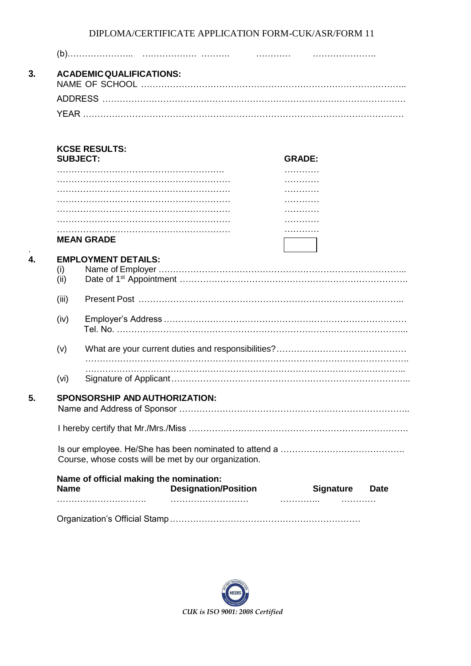DIPLOMA/CERTIFICATE APPLICATION FORM-CUK/ASR/FORM 11

| <b>ACADEMIC QUALIFICATIONS:</b> |                                                      |               |  |  |  |  |
|---------------------------------|------------------------------------------------------|---------------|--|--|--|--|
|                                 |                                                      |               |  |  |  |  |
|                                 |                                                      |               |  |  |  |  |
|                                 | <b>KCSE RESULTS:</b><br><b>SUBJECT:</b>              | <b>GRADE:</b> |  |  |  |  |
|                                 |                                                      |               |  |  |  |  |
|                                 |                                                      |               |  |  |  |  |
|                                 |                                                      |               |  |  |  |  |
|                                 |                                                      |               |  |  |  |  |
|                                 |                                                      |               |  |  |  |  |
|                                 |                                                      |               |  |  |  |  |
|                                 | <b>MEAN GRADE</b>                                    |               |  |  |  |  |
| (iii)<br>(iv)                   |                                                      |               |  |  |  |  |
| (v)                             |                                                      |               |  |  |  |  |
| (vi)                            |                                                      |               |  |  |  |  |
|                                 | SPONSORSHIP AND AUTHORIZATION:                       |               |  |  |  |  |
|                                 |                                                      |               |  |  |  |  |
|                                 |                                                      |               |  |  |  |  |
|                                 | Course, whose costs will be met by our organization. |               |  |  |  |  |

Organization's Official Stamp…………………………………………………………